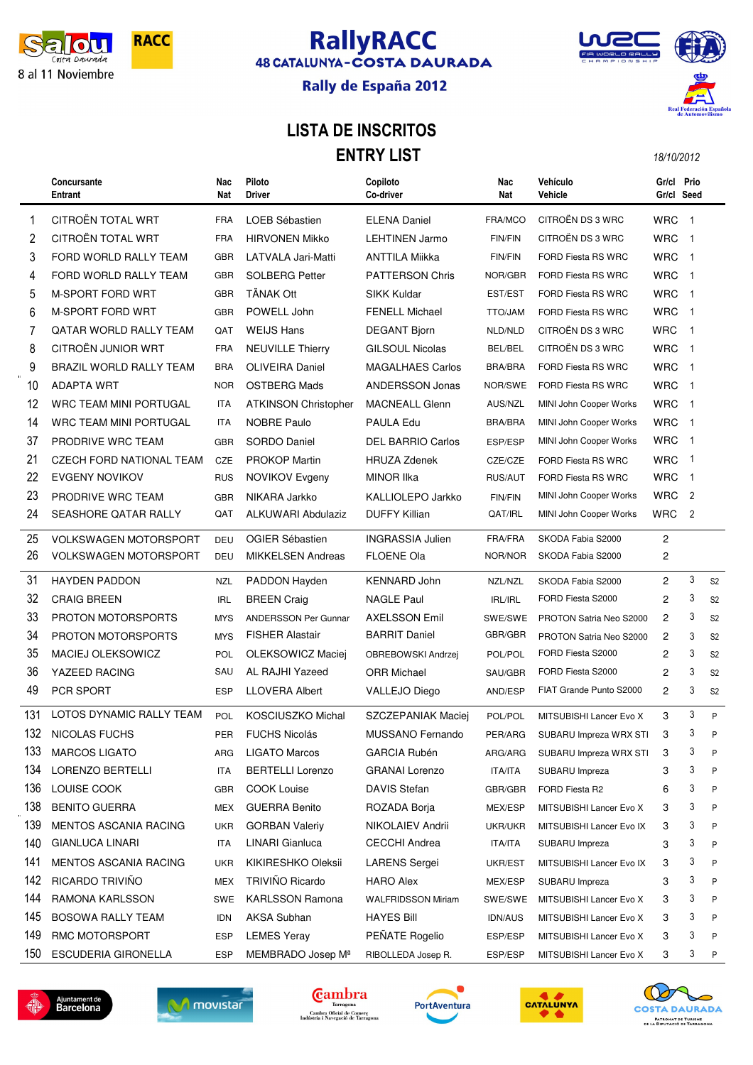

# **RallyRACC**<br>48 CATALUNYA-COSTA DAURADA



#### Rally de España 2012

#### LISTA DE INSCRITOS **ENTRY LIST** 18/10/2012

|     | Concursante<br><b>Entrant</b>   | Nac<br>Nat | Piloto<br>Driver            | Copiloto<br>Co-driver     | Nac<br>Nat     | Vehículo<br>Vehicle       | Gr/cl Prio<br>Gr/cl Seed |                |                |
|-----|---------------------------------|------------|-----------------------------|---------------------------|----------------|---------------------------|--------------------------|----------------|----------------|
| 1   | CITROËN TOTAL WRT               | <b>FRA</b> | LOEB Sébastien              | <b>ELENA Daniel</b>       | FRA/MCO        | CITROËN DS 3 WRC          | <b>WRC</b>               | $\overline{1}$ |                |
| 2   | CITROËN TOTAL WRT               | <b>FRA</b> | <b>HIRVONEN Mikko</b>       | <b>LEHTINEN Jarmo</b>     | <b>FIN/FIN</b> | CITROËN DS 3 WRC          | <b>WRC</b>               | $\overline{1}$ |                |
| 3   | FORD WORLD RALLY TEAM           | <b>GBR</b> | LATVALA Jari-Matti          | <b>ANTTILA Miikka</b>     | <b>FIN/FIN</b> | <b>FORD Fiesta RS WRC</b> | <b>WRC</b>               | $\overline{1}$ |                |
| 4   | FORD WORLD RALLY TEAM           | <b>GBR</b> | <b>SOLBERG Petter</b>       | <b>PATTERSON Chris</b>    | NOR/GBR        | FORD Fiesta RS WRC        | <b>WRC</b>               | $\overline{1}$ |                |
| 5   | <b>M-SPORT FORD WRT</b>         | <b>GBR</b> | <b>TÄNAK Ott</b>            | <b>SIKK Kuldar</b>        | EST/EST        | FORD Fiesta RS WRC        | <b>WRC</b>               | $\mathbf{1}$   |                |
| 6   | <b>M-SPORT FORD WRT</b>         | <b>GBR</b> | POWELL John                 | <b>FENELL Michael</b>     | TTO/JAM        | <b>FORD Fiesta RS WRC</b> | <b>WRC</b>               | $\mathbf{1}$   |                |
| 7   | QATAR WORLD RALLY TEAM          | QAT        | <b>WEIJS Hans</b>           | <b>DEGANT Bjorn</b>       | NLD/NLD        | CITROËN DS 3 WRC          | <b>WRC</b>               | $\overline{1}$ |                |
| 8   | CITROËN JUNIOR WRT              | <b>FRA</b> | <b>NEUVILLE Thierry</b>     | <b>GILSOUL Nicolas</b>    | BEL/BEL        | CITROËN DS 3 WRC          | <b>WRC</b>               | $\mathbf{1}$   |                |
| 9   | BRAZIL WORLD RALLY TEAM         | <b>BRA</b> | <b>OLIVEIRA Daniel</b>      | <b>MAGALHAES Carlos</b>   | <b>BRA/BRA</b> | FORD Fiesta RS WRC        | <b>WRC</b>               | $\overline{1}$ |                |
| 10  | ADAPTA WRT                      | <b>NOR</b> | <b>OSTBERG Mads</b>         | <b>ANDERSSON Jonas</b>    | NOR/SWE        | FORD Fiesta RS WRC        | <b>WRC</b>               | $\overline{1}$ |                |
| 12  | WRC TEAM MINI PORTUGAL          | ITA        | <b>ATKINSON Christopher</b> | <b>MACNEALL Glenn</b>     | AUS/NZL        | MINI John Cooper Works    | <b>WRC</b>               | $\mathbf{1}$   |                |
| 14  | WRC TEAM MINI PORTUGAL          | ITA        | <b>NOBRE Paulo</b>          | PAULA Edu                 | <b>BRA/BRA</b> | MINI John Cooper Works    | <b>WRC</b>               | $\mathbf{1}$   |                |
| 37  | PRODRIVE WRC TEAM               | <b>GBR</b> | SORDO Daniel                | <b>DEL BARRIO Carlos</b>  | ESP/ESP        | MINI John Cooper Works    | <b>WRC</b>               | $\mathbf{1}$   |                |
| 21  | <b>CZECH FORD NATIONAL TEAM</b> | <b>CZE</b> | <b>PROKOP Martin</b>        | <b>HRUZA Zdenek</b>       | CZE/CZE        | <b>FORD Fiesta RS WRC</b> | <b>WRC</b>               | $\mathbf{1}$   |                |
| 22  | <b>EVGENY NOVIKOV</b>           | <b>RUS</b> | NOVIKOV Evgeny              | <b>MINOR IIka</b>         | <b>RUS/AUT</b> | FORD Fiesta RS WRC        | <b>WRC</b>               | $\mathbf{1}$   |                |
| 23  | PRODRIVE WRC TEAM               | <b>GBR</b> | NIKARA Jarkko               | KALLIOLEPO Jarkko         | <b>FIN/FIN</b> | MINI John Cooper Works    | <b>WRC</b>               | $\overline{2}$ |                |
| 24  | SEASHORE QATAR RALLY            | QAT        | <b>ALKUWARI Abdulaziz</b>   | <b>DUFFY Killian</b>      | QAT/IRL        | MINI John Cooper Works    | <b>WRC</b>               | 2              |                |
| 25  | <b>VOLKSWAGEN MOTORSPORT</b>    | DEU        | <b>OGIER Sébastien</b>      | <b>INGRASSIA Julien</b>   | FRA/FRA        | SKODA Fabia S2000         | $\overline{c}$           |                |                |
| 26  | <b>VOLKSWAGEN MOTORSPORT</b>    | <b>DEU</b> | <b>MIKKELSEN Andreas</b>    | <b>FLOENE Ola</b>         | NOR/NOR        | SKODA Fabia S2000         | 2                        |                |                |
| 31  | <b>HAYDEN PADDON</b>            | <b>NZL</b> | PADDON Hayden               | <b>KENNARD John</b>       | NZL/NZL        | SKODA Fabia S2000         | $\overline{c}$           | 3              | S <sub>2</sub> |
| 32  | <b>CRAIG BREEN</b>              | <b>IRL</b> | <b>BREEN Craig</b>          | <b>NAGLE Paul</b>         | IRL/IRL        | FORD Fiesta S2000         | 2                        | 3              | S <sub>2</sub> |
| 33  | <b>PROTON MOTORSPORTS</b>       | <b>MYS</b> | <b>ANDERSSON Per Gunnar</b> | <b>AXELSSON Emil</b>      | SWE/SWE        | PROTON Satria Neo S2000   | $\overline{c}$           | 3              | S <sub>2</sub> |
| 34  | <b>PROTON MOTORSPORTS</b>       | <b>MYS</b> | <b>FISHER Alastair</b>      | <b>BARRIT Daniel</b>      | GBR/GBR        | PROTON Satria Neo S2000   | 2                        | 3              | S <sub>2</sub> |
| 35  | <b>MACIEJ OLEKSOWICZ</b>        | POL        | OLEKSOWICZ Maciej           | OBREBOWSKI Andrzej        | POL/POL        | FORD Fiesta S2000         | $\overline{c}$           | 3              | S <sub>2</sub> |
| 36  | YAZEED RACING                   | SAU        | AL RAJHI Yazeed             | <b>ORR Michael</b>        | SAU/GBR        | FORD Fiesta S2000         | 2                        | 3              | S <sub>2</sub> |
| 49  | PCR SPORT                       | <b>ESP</b> | <b>LLOVERA Albert</b>       | <b>VALLEJO Diego</b>      | AND/ESP        | FIAT Grande Punto S2000   | 2                        | 3              | S <sub>2</sub> |
| 131 | LOTOS DYNAMIC RALLY TEAM        | POL        | KOSCIUSZKO Michal           | SZCZEPANIAK Maciej        | POL/POL        | MITSUBISHI Lancer Evo X   | 3                        | 3              | P              |
| 132 | NICOLAS FUCHS                   | <b>PER</b> | <b>FUCHS Nicolás</b>        | MUSSANO Fernando          | PER/ARG        | SUBARU Impreza WRX STI    | 3                        | 3              | P              |
| 133 | <b>MARCOS LIGATO</b>            | ARG        | <b>LIGATO Marcos</b>        | <b>GARCIA Rubén</b>       | ARG/ARG        | SUBARU Impreza WRX STI    | 3                        | 3              | P              |
| 134 | LORENZO BERTELLI                | ITA        | <b>BERTELLI Lorenzo</b>     | <b>GRANAI Lorenzo</b>     | <b>ITA/ITA</b> | SUBARU Impreza            | 3                        | 3              | P              |
| 136 | LOUISE COOK                     | <b>GBR</b> | <b>COOK Louise</b>          | <b>DAVIS Stefan</b>       | GBR/GBR        | FORD Fiesta R2            | 6                        | 3              | P              |
| 138 | <b>BENITO GUERRA</b>            | MEX        | <b>GUERRA Benito</b>        | ROZADA Borja              | MEX/ESP        | MITSUBISHI Lancer Evo X   | 3                        | 3              | P              |
| 139 | MENTOS ASCANIA RACING           | <b>UKR</b> | <b>GORBAN Valeriy</b>       | NIKOLAIEV Andrii          | UKR/UKR        | MITSUBISHI Lancer Evo IX  | 3                        | 3              | P              |
| 140 | <b>GIANLUCA LINARI</b>          | ITA        | LINARI Gianluca             | <b>CECCHI Andrea</b>      | <b>ITA/ITA</b> | SUBARU Impreza            | 3                        | 3              | P              |
| 141 | MENTOS ASCANIA RACING           | <b>UKR</b> | KIKIRESHKO Oleksii          | <b>LARENS Sergei</b>      | UKR/EST        | MITSUBISHI Lancer Evo IX  | 3                        | 3              | P              |
| 142 | RICARDO TRIVIÑO                 | <b>MEX</b> | TRIVIÑO Ricardo             | <b>HARO Alex</b>          | MEX/ESP        | SUBARU Impreza            | 3                        | 3              | P              |
| 144 | RAMONA KARLSSON                 | SWE        | <b>KARLSSON Ramona</b>      | <b>WALFRIDSSON Miriam</b> | SWE/SWE        | MITSUBISHI Lancer Evo X   | 3                        | 3              | P              |
| 145 | <b>BOSOWA RALLY TEAM</b>        | <b>IDN</b> | <b>AKSA Subhan</b>          | <b>HAYES Bill</b>         | <b>IDN/AUS</b> | MITSUBISHI Lancer Evo X   | 3                        | 3              | P              |
| 149 | RMC MOTORSPORT                  | <b>ESP</b> | <b>LEMES Yeray</b>          | PEÑATE Rogelio            | ESP/ESP        | MITSUBISHI Lancer Evo X   | 3                        | 3              | P              |
| 150 | <b>ESCUDERIA GIRONELLA</b>      | ESP        | MEMBRADO Josep Mª           | RIBOLLEDA Josep R.        | ESP/ESP        | MITSUBISHI Lancer Evo X   | 3                        | 3              | Ρ              |
|     |                                 |            |                             |                           |                |                           |                          |                |                |